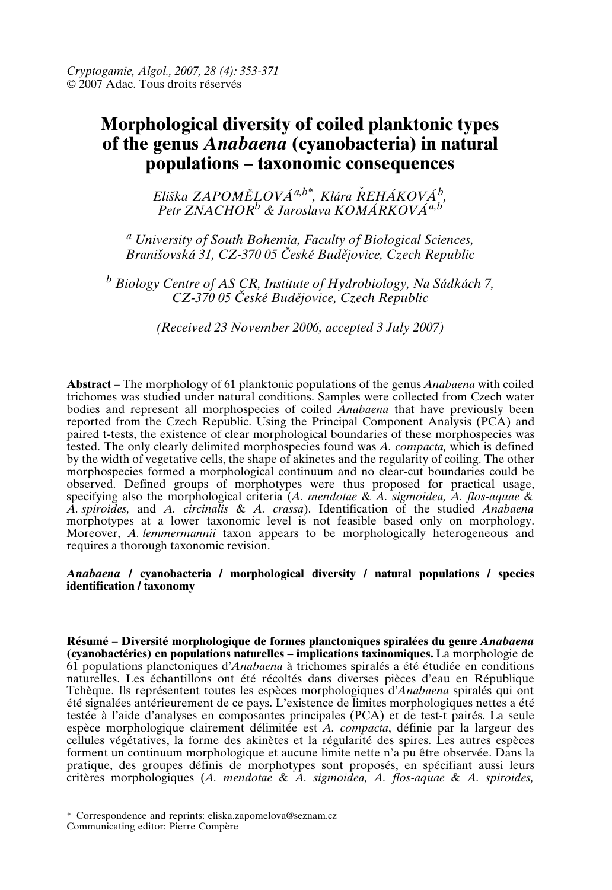# **Morphological diversity of coiled planktonic types of the genus** *Anabaena* **(cyanobacteria) in natural populations – taxonomic consequences**

*Eli≠ka ZAPOM}LOVÁa,b\*, Klára REHÁKOVÁ ˇ <sup>b</sup> , Petr ZNACHOR<sup>b</sup> & Jaroslava KOMÁRKOVÁa,b*

*<sup>a</sup> University of South Bohemia, Faculty of Biological Sciences, Brani≠ovská 31, CZ-370 05 Ωeské Bud{jovice, Czech Republic*

*<sup>b</sup> Biology Centre of AS CR, Institute of Hydrobiology, Na Sádkách 7, CZ-370 05 Ωeské Bud{jovice, Czech Republic*

*(Received 23 November 2006, accepted 3 July 2007)*

**Abstract** – The morphology of 61 planktonic populations of the genus *Anabaena* with coiled trichomes was studied under natural conditions. Samples were collected from Czech water bodies and represent all morphospecies of coiled *Anabaena* that have previously been reported from the Czech Republic. Using the Principal Component Analysis (PCA) and paired t-tests, the existence of clear morphological boundaries of these morphospecies was tested. The only clearly delimited morphospecies found was *A. compacta,* which is defined by the width of vegetative cells, the shape of akinetes and the regularity of coiling. The other morphospecies formed a morphological continuum and no clear-cut boundaries could be observed. Defined groups of morphotypes were thus proposed for practical usage, specifying also the morphological criteria (*A. mendotae* & *A. sigmoidea, A. flos-aquae* & *A. spiroides,* and *A. circinalis* & *A. crassa*). Identification of the studied *Anabaena* morphotypes at a lower taxonomic level is not feasible based only on morphology. Moreover, *A. lemmermannii* taxon appears to be morphologically heterogeneous and requires a thorough taxonomic revision.

# *Anabaena* **/ cyanobacteria / morphological diversity / natural populations/species identification / taxonomy**

**Résumé** – **Diversité morphologique de formes planctoniques spiralées du genre** *Anabaena* **(cyanobactéries) en populations naturelles – implications taxinomiques.** La morphologie de 61 populations planctoniques d'*Anabaena* à trichomes spiralés a été étudiée en conditions naturelles. Les échantillons ont été récoltés dans diverses pièces d'eau en République Tchèque. Ils représentent toutes les espèces morphologiques d'*Anabaena* spiralés qui ont été signalées antérieurement de ce pays. L'existence de limites morphologiques nettes a été testée à l'aide d'analyses en composantes principales (PCA) et de test-t pairés. La seule espèce morphologique clairement délimitée est *A. compacta*, définie par la largeur des cellules végétatives, la forme des akinètes et la régularité des spires. Les autres espèces forment un continuum morphologique et aucune limite nette n'a pu être observée. Dans la pratique, des groupes définis de morphotypes sont proposés, en spécifiant aussi leurs critères morphologiques (*A. mendotae* & *A. sigmoidea, A. flos-aquae* & *A. spiroides,*

<sup>\*</sup> Correspondence and reprints: eliska.zapomelova@seznam.cz Communicating editor: Pierre Compère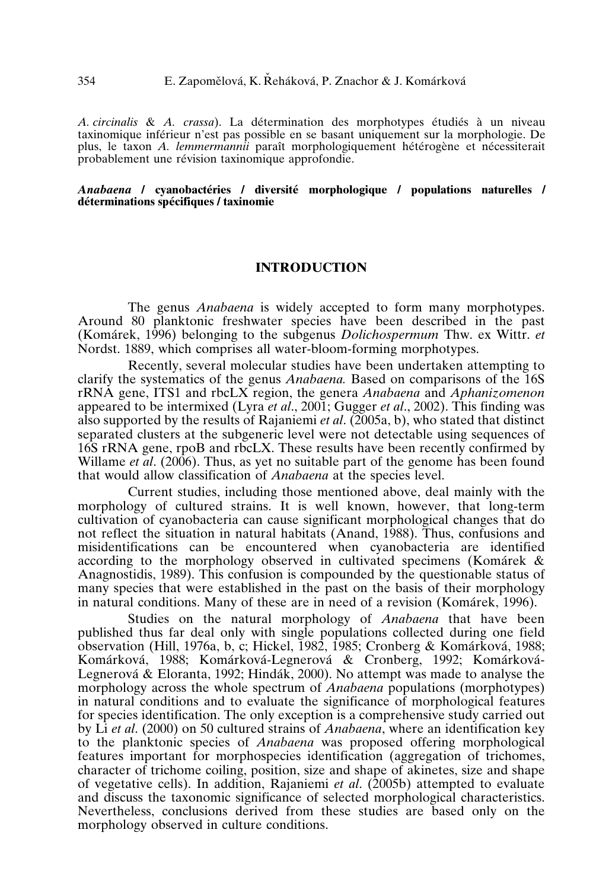*A. circinalis* & *A. crassa*). La détermination des morphotypes étudiés à un niveau taxinomique inférieur n'est pas possible en se basant uniquement sur la morphologie. De plus, le taxon *A. lemmermannii* paraît morphologiquement hétérogène et nécessiterait probablement une révision taxinomique approfondie.

#### *Anabaena* **/ cyanobactéries / diversité morphologique / populations naturelles / déterminations spécifiques/taxinomie**

# **INTRODUCTION**

The genus *Anabaena* is widely accepted to form many morphotypes. Around 80 planktonic freshwater species have been described in the past (Komárek, 1996) belonging to the subgenus *Dolichospermum* Thw. ex Wittr. *et* Nordst. 1889, which comprises all water-bloom-forming morphotypes.

Recently, several molecular studies have been undertaken attempting to clarify the systematics of the genus *Anabaena.* Based on comparisons of the 16S rRNA gene, ITS1 and rbcLX region, the genera *Anabaena* and *Aphanizomenon* appeared to be intermixed (Lyra *et al*., 2001; Gugger *et al*., 2002). This finding was also supported by the results of Rajaniemi *et al*. (2005a, b), who stated that distinct separated clusters at the subgeneric level were not detectable using sequences of 16S rRNA gene, rpoB and rbcLX. These results have been recently confirmed by Willame *et al*. (2006). Thus, as yet no suitable part of the genome has been found that would allow classification of *Anabaena* at the species level.

Current studies, including those mentioned above, deal mainly with the morphology of cultured strains. It is well known, however, that long-term cultivation of cyanobacteria can cause significant morphological changes that do not reflect the situation in natural habitats (Anand, 1988). Thus, confusions and misidentifications can be encountered when cyanobacteria are identified according to the morphology observed in cultivated specimens (Komárek & Anagnostidis, 1989). This confusion is compounded by the questionable status of many species that were established in the past on the basis of their morphology in natural conditions. Many of these are in need of a revision (Komárek, 1996).

Studies on the natural morphology of *Anabaena* that have been published thus far deal only with single populations collected during one field observation (Hill, 1976a, b, c; Hickel, 1982, 1985; Cronberg & Komárková, 1988; Komárková, 1988; Komárková-Legnerová&Cronberg, 1992; Komárková-Legnerová&Eloranta, 1992; Hindák, 2000). No attempt was made to analyse the morphology across the whole spectrum of *Anabaena* populations (morphotypes) in natural conditions and to evaluate the significance of morphological features for species identification. The only exception is a comprehensive study carried out by Li *et al*. (2000) on 50 cultured strains of *Anabaena*, where an identification key to the planktonic species of *Anabaena* was proposed offering morphological features important for morphospecies identification (aggregation of trichomes, character of trichome coiling, position, size and shape of akinetes, size and shape of vegetative cells). In addition, Rajaniemi *et al*. (2005b) attempted to evaluate and discuss the taxonomic significance of selected morphological characteristics. Nevertheless, conclusions derived from these studies are based only on the morphology observed in culture conditions.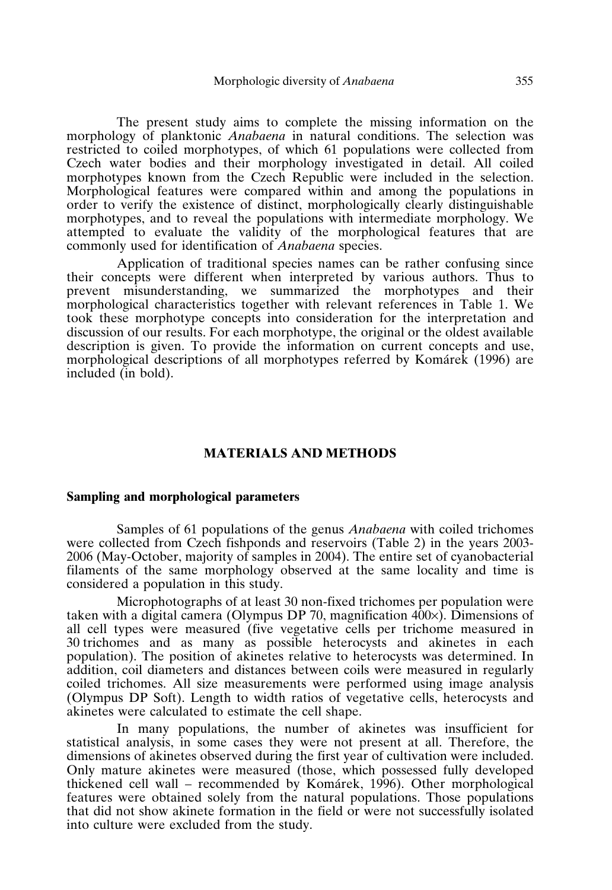The present study aims to complete the missing information on the morphology of planktonic *Anabaena* in natural conditions. The selection was restricted to coiled morphotypes, of which 61 populations were collected from Czech water bodies and their morphology investigated in detail. All coiled morphotypes known from the Czech Republic were included in the selection. Morphological features were compared within and among the populations in order to verify the existence of distinct, morphologically clearly distinguishable morphotypes, and to reveal the populations with intermediate morphology. We attempted to evaluate the validity of the morphological features that are commonly used for identification of *Anabaena* species.

Application of traditional species names can be rather confusing since their concepts were different when interpreted by various authors. Thus to prevent misunderstanding, we summarized the morphotypes and their morphological characteristics together with relevant references in Table 1. We took these morphotype concepts into consideration for the interpretation and discussion of our results. For each morphotype, the original or the oldest available description is given. To provide the information on current concepts and use, morphological descriptions of all morphotypes referred by Komárek (1996) are included (in bold).

# **MATERIALS AND METHODS**

### **Sampling and morphological parameters**

Samples of 61 populations of the genus *Anabaena* with coiled trichomes were collected from Czech fishponds and reservoirs (Table 2) in the years 2003- 2006 (May-October, majority of samples in 2004). The entire set of cyanobacterial filaments of the same morphology observed at the same locality and time is considered a population in this study.

Microphotographs of at least 30 non-fixed trichomes per population were taken with a digital camera (Olympus DP 70, magnification  $400\times$ ). Dimensions of all cell types were measured (five vegetative cells per trichome measured in 30 trichomes and as many as possible heterocysts and akinetes in each population). The position of akinetes relative to heterocysts was determined. In addition, coil diameters and distances between coils were measured in regularly coiled trichomes. All size measurements were performed using image analysis (Olympus DP Soft). Length to width ratios of vegetative cells, heterocysts and akinetes were calculated to estimate the cell shape.

In many populations, the number of akinetes was insufficient for statistical analysis, in some cases they were not present at all. Therefore, the dimensions of akinetes observed during the first year of cultivation were included. Only mature akinetes were measured (those, which possessed fully developed thickened cell wall – recommended by Komárek, 1996). Other morphological features were obtained solely from the natural populations. Those populations that did not show akinete formation in the field or were not successfully isolated into culture were excluded from the study.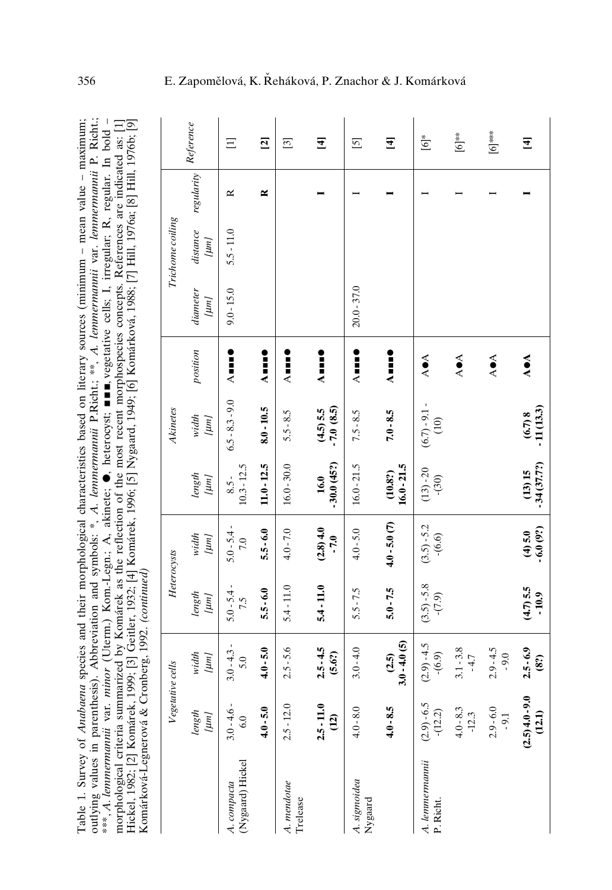| outlying values in parenthesis). Abbreviation and symbols: *, A. lemmermannii P.Richt;; **, A. lemmermannii var. lemmermannii P. Richt;<br>***, A. lennnermannii var. minor (Uterm.) Kom.-Legn.; A., akinete; ●, heterocyst; ■■■, vegetative cells; I, irregular; R, regular. In bold -<br>Hickel, 1982; [2] Komárek, 1999; [3] Geitler, 1932; [4] Komárek, 1996; [5] Nygaard, 1949; [6] Komárková, 1988; [7] Hill, 1976a; [8] Hill, 1976b; [9]<br>morphological criteria summarized by Komárek as the reflection of the most recent morphospecies concepts. References are indicated as: [1] |  |
|-----------------------------------------------------------------------------------------------------------------------------------------------------------------------------------------------------------------------------------------------------------------------------------------------------------------------------------------------------------------------------------------------------------------------------------------------------------------------------------------------------------------------------------------------------------------------------------------------|--|
|                                                                                                                                                                                                                                                                                                                                                                                                                                                                                                                                                                                               |  |
|                                                                                                                                                                                                                                                                                                                                                                                                                                                                                                                                                                                               |  |
|                                                                                                                                                                                                                                                                                                                                                                                                                                                                                                                                                                                               |  |
|                                                                                                                                                                                                                                                                                                                                                                                                                                                                                                                                                                                               |  |
|                                                                                                                                                                                                                                                                                                                                                                                                                                                                                                                                                                                               |  |
|                                                                                                                                                                                                                                                                                                                                                                                                                                                                                                                                                                                               |  |
| Table 1. Survey of <i>Anabaena</i> species and their morphological characteristics based on literary sources (minimum - mean value - maximum;                                                                                                                                                                                                                                                                                                                                                                                                                                                 |  |
|                                                                                                                                                                                                                                                                                                                                                                                                                                                                                                                                                                                               |  |
|                                                                                                                                                                                                                                                                                                                                                                                                                                                                                                                                                                                               |  |
|                                                                                                                                                                                                                                                                                                                                                                                                                                                                                                                                                                                               |  |
|                                                                                                                                                                                                                                                                                                                                                                                                                                                                                                                                                                                               |  |
|                                                                                                                                                                                                                                                                                                                                                                                                                                                                                                                                                                                               |  |
|                                                                                                                                                                                                                                                                                                                                                                                                                                                                                                                                                                                               |  |
|                                                                                                                                                                                                                                                                                                                                                                                                                                                                                                                                                                                               |  |
|                                                                                                                                                                                                                                                                                                                                                                                                                                                                                                                                                                                               |  |
| Cronberg, 1992. (continued)                                                                                                                                                                                                                                                                                                                                                                                                                                                                                                                                                                   |  |
|                                                                                                                                                                                                                                                                                                                                                                                                                                                                                                                                                                                               |  |
|                                                                                                                                                                                                                                                                                                                                                                                                                                                                                                                                                                                               |  |
|                                                                                                                                                                                                                                                                                                                                                                                                                                                                                                                                                                                               |  |
|                                                                                                                                                                                                                                                                                                                                                                                                                                                                                                                                                                                               |  |
| Komárková-Legnerová & (                                                                                                                                                                                                                                                                                                                                                                                                                                                                                                                                                                       |  |
|                                                                                                                                                                                                                                                                                                                                                                                                                                                                                                                                                                                               |  |
|                                                                                                                                                                                                                                                                                                                                                                                                                                                                                                                                                                                               |  |
|                                                                                                                                                                                                                                                                                                                                                                                                                                                                                                                                                                                               |  |

|                                 | Vegetative cells               |                         | Heterocysts            |                           |                          | Akinetes                             |                            |                  | Trichome coiling |            |                  |
|---------------------------------|--------------------------------|-------------------------|------------------------|---------------------------|--------------------------|--------------------------------------|----------------------------|------------------|------------------|------------|------------------|
|                                 | length<br>$[ \mu n ]$          | width<br>$[ \mu m ]$    | length<br>$[ \mu n ]$  | width<br>[µm]             | length<br>[1, 1]         | width<br>$[ \mu m ]$                 | position                   | diameter<br>[um] | distance         | regularity | Reference        |
| (Nygaard) Hickel<br>A. compacta | $3.0 - 4.6 -$<br>6.0           | $3.0 - 4.3 -$<br>5.0    | $5.0 - 5.4 -$<br>7.5   | $5.0 - 5.4 -$<br>7.0      | $10.3 - 12.5$<br>$8.5 -$ | $6.5 - 8.3 - 9.0$                    | A mm e                     | $9.0 - 15.0$     | $5.5 - 11.0$     | ≃          | $\Xi$            |
|                                 | $4.0 - 5.0$                    | $4.0 - 5.0$             | $5.5 - 6.0$            | $5.5 - 6.0$               | $11.0 - 12.5$            | $8.0 - 10.5$                         | Åuu!                       |                  |                  | ≃          | $\overline{2}$   |
| A. mendotae<br>Trelease         | $2.5 - 12.0$                   | $2.5 - 5.6$             | $5.4 - 11.0$           | $4.0 - 7.0$               | $16.0 - 30.0$            | $5.5 - 8.5$                          | $\lambda$ . $\blacksquare$ |                  |                  |            | $\boxed{3}$      |
|                                 | $2.5 - 11.0$<br>$\overline{2}$ | $2.5 - 4.5$<br>(5.6?)   | 5.4 - 11.0             | (2.8) 4.0<br>$-7.0$       | $-30.0(45?)$<br>16.0     | $(4.5)$ 5.5<br>$-7.0$ $(8.5)$        | $\lambda$ mer              |                  |                  |            | $\mathbf{F}$     |
| A. sigmoidea<br>Nygaard         | $4.0 - 8.0$                    | $3.0 - 4.0$             | $5.5 - 7.5$            | $4.0 - 5.0$               | $16.0 - 21.5$            | $7.5 - 8.5$                          | $\lambda$ . $\blacksquare$ | 20.0-37.0        |                  |            | $\boxed{5}$      |
|                                 | $4.0 - 8.5$                    | $3.0 - 4.0(5)$<br>(2.5) | $5.0 - 7.5$            | $4.0 - 5.0(7)$            | $(10.8?)$<br>16.0 - 21.5 | $7.0 - 8.5$                          | Ž                          |                  |                  |            | $\mathbf{F}$     |
| A. lemmermannii<br>P. Richt.    | $(2.9) - 6.5$<br>$-(12.2)$     | $(2.9) - 4.5$<br>(6.9)  | $(3.5) - 5.8$<br>(6.7) | $(3.5) - 5.2$<br>$-(6.6)$ | $(13) - 20$<br>(30)      | $(6.7) - 9.1 -$<br>$\left(10\right)$ | <b>AOA</b>                 |                  |                  |            | $\overline{6}^*$ |
|                                 | $4.0 - 8.3$<br>$-12.3$         | $3.1 - 3.8$<br>$-4.7$   |                        |                           |                          |                                      | AOA                        |                  |                  |            | $\sum_{i=1}^{n}$ |
|                                 | $2.9 - 6.0$<br>$-9.1$          | $2.9 - 4.5$<br>$-9.0$   |                        |                           |                          |                                      | <b>AOA</b>                 |                  |                  |            | $[6]$ ***        |
|                                 | $(2.5)4.0 - 9.0$<br>(12.1)     | $2.5 - 6.9$<br>(8?)     | $(4.7) 5.5$<br>$-10.9$ | $(4) 5.0$<br>$-6.0 (9?)$  | $-34(37.7?)$<br>(13) 15  | $(6.7)$ 8<br>-11 (13.3)              | A O A                      |                  |                  |            | $\mathbf{F}$     |

# 356 E. Zapomělová, K. Řeháková, P. Znachor & J. Komárková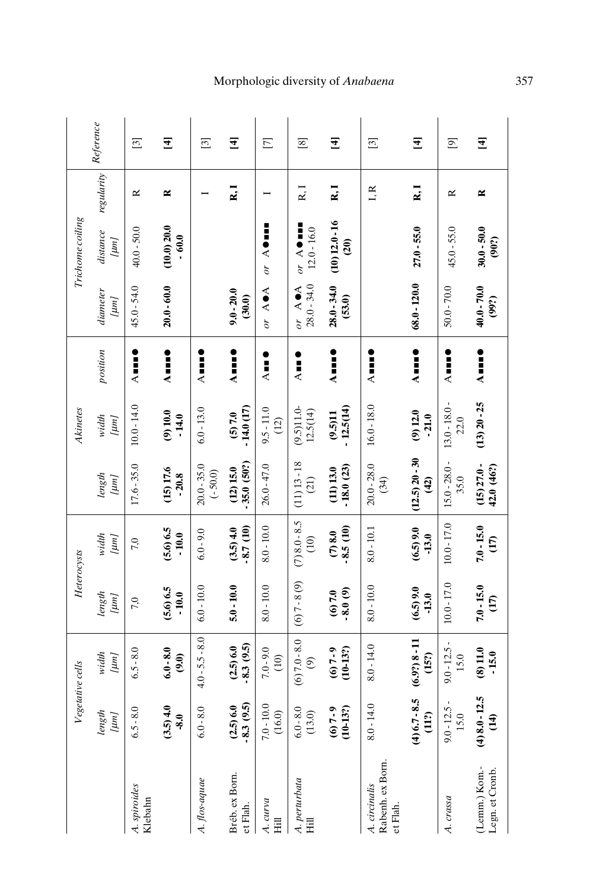|                  | Reference          | ⊡                       | $\mathbf{E}$                        | $\boxed{3}$                | $\overline{4}$              | $\Xi$                    | $^{[8]}$                                  | $\mathbf{f}$                       | $\begin{bmatrix} 3 \end{bmatrix}$             | $\mathbf{F}$                      | $\overline{[6]}$        | $\mathbf{F}$                           |
|------------------|--------------------|-------------------------|-------------------------------------|----------------------------|-----------------------------|--------------------------|-------------------------------------------|------------------------------------|-----------------------------------------------|-----------------------------------|-------------------------|----------------------------------------|
|                  | regularity         | ĸ                       | ≃                                   |                            | $\mathbf{R}$ , $\mathbf{I}$ |                          | R.I                                       | $\mathbf{k}$ .                     | I, R                                          | $\mathbf{k}$ , $\mathbf{I}$       | ĸ                       | ≃                                      |
| Trichome coiling | distance<br>[1, 1] | $40.0 - 50.0$           | (10.0) 20.0<br>$\ddot{\phantom{0}}$ |                            |                             | or $A$ of $\blacksquare$ | or $A$ of $\blacksquare$<br>$12.0 - 16.0$ | $(10) 12.0 - 16$<br>$\overline{c}$ |                                               | $27.0 - 55.0$                     | $45.0 - 55.0$           | $30.0 - 50.0$<br>(90?)                 |
|                  | diameter<br>[m]    | 45.0-54.0               | $20.0 - 60.0$                       |                            | $9.0 - 20.0$<br>(30.0)      | or AOA                   | $28.0 - 34.0$<br>or AOA                   | $28.0 - 34.0$<br>(53.0)            |                                               | $68.0 - 120.0$                    | $50.0 - 70.0$           | 40.0 - 70.0<br>(99?)                   |
|                  | position           | $\lambda$ iiii)         | Aus <b>t</b>                        | Aust<br>A                  | $\lambda$ and $\bullet$     | $\frac{1}{2}$            | $\overline{A}$                            | A uu S                             | $\lambda$ be $\blacksquare$                   | Å III <b>)</b>                    | $\lambda$ iiii)         | $A = -$                                |
| Akinetes         | width<br>[um]      | $10.0 - 14.0$           | (9) 10.0<br>$-14.0$                 | $6.0 - 13.0$               | $-14.0(17)$<br>(5) 7.0      | $9.5 - 11.0$<br>(12)     | (9.5)11.0<br>12.5(14)                     | $-12.5(14)$<br>(9.5)11             | $16.0 - 18.0$                                 | (9) 12.0<br>$-21.0$               | 13.0 - 18.0 -<br>22.0   | $(13) 20 - 25$                         |
|                  | length<br>[um]     | $17.6 - 35.0$           | (15) 17.6<br>$-20.8$                | $20.0 - 35.0$<br>$(-50.0)$ | 35.0 (50?)<br>(12) 15.0     | $26.0 - 47.0$            | $(11)$ $13 - 18$<br>(21)                  | 18.0(23)<br>(11) 13.0              | $20.0 - 28.0$<br>(34)                         | $(12.5) 20 - 30$<br>$\widehat{d}$ | $15.0 - 28.0 -$<br>35.0 | $(15) 27.0 -$<br>42.0 (46?)            |
| Heterocysts      | width<br>[µm]      | 7,0                     | (5.6) 6.5<br>$-10.0$                | $6.0 - 9.0$                | 8.7 (10)<br>(3.5)4.0        | $8.0 - 10.0$             | $(7)8.0 - 8.5$<br>$\widehat{E}$           | 8.5(10)<br>(7) 8.0                 | $8.0 - 10.1$                                  | (6.5) 9.0<br>$-13.0$              | $10.0 - 17.0$           | $7.0 - 15.0$<br>$\widehat{E}$          |
|                  | length<br>[um]     | 7,0                     | (5.6) 6.5<br>$-10.0$                | $6.0 - 10.0$               | $5.0 - 10.0$                | $8.0 - 10.0$             | $(6)7 - 8(9)$                             | $-8.0(9)$<br>(6) 7.0               | $8.0 - 10.0$                                  | (6.5)9.0<br>$-13.0$               | $10.0 - 17.0$           | $7.0 - 15.0$<br>$\overline{E}$         |
| Vegetative cells | width<br>[µm]      | $6.5 - 8.0$             | $6.0 - 8.0$<br>(9.0)                | $4.0 - 5.5 - 8.0$          | $-8.3(9.5)$<br>(2.5) 6.0    | $7.0 - 9.0$<br>(10)      | $(6) 7.0 - 8.0$<br>$\odot$                | $(10-13?)$<br>$(6) 7 - 9$          | $8.0 - 14.0$                                  | $(6.9?) 8 - 11$<br>(15?)          | $9.0 - 12.5 -$<br>15.0  | (8) 11.0<br>$-15.0$                    |
|                  | length<br>[um]     | $6.5 - 8.0$             | (3.5)4.0<br>$-8.0$                  | $6.0 - 8.0$                | $(2.5)$ 6.0<br>-8.3 $(9.5)$ | $7.0 - 10.0$<br>(16.0)   | $6.0 - 8.0$<br>(13.0)                     | $(6) 7 - 9$<br>$(10-13?)$          | $8.0 - 14.0$                                  | $(4)$ 6.7 - 8.5<br>(11?)          | $9.0 - 12.5 -$<br>15.0  | r.<br>$(4) 8.0 - 12.$<br>$\widehat{H}$ |
|                  |                    | A. spiroides<br>Klebahn |                                     | A. flos-aquae              | Bréb. ex Born.<br>et Flah.  | A. curva<br>Hill         | A. perturbata<br>$\overline{H}$           |                                    | Rabenh. ex Born.<br>A. circinalis<br>et Flah. |                                   | A. crassa               | (Lemm.) Kom.-<br>Legn. et Cronb.       |

# M o rphologi c di v ers ity of *A nabaen a*

3 5 7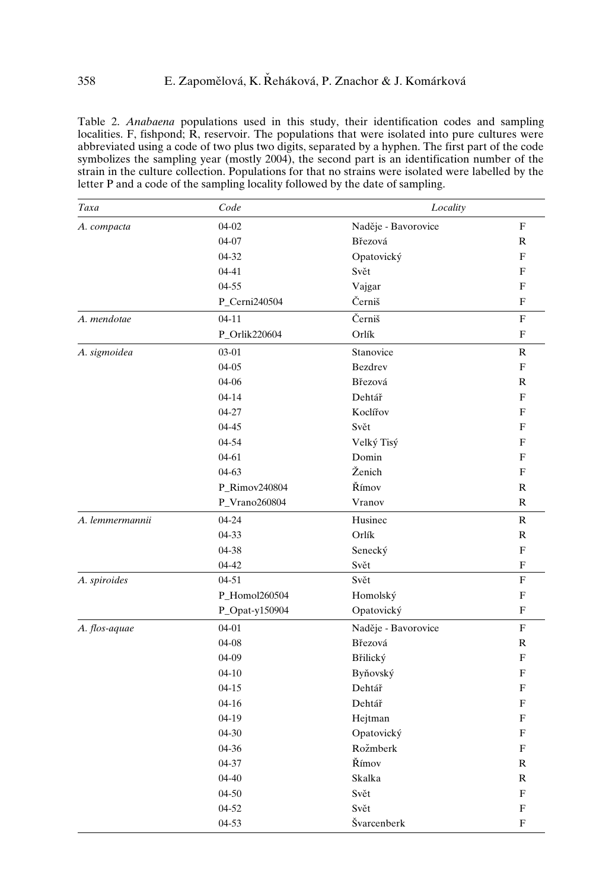Table 2. *Anabaena* populations used in this study, their identification codes and sampling localities. F, fishpond;  $\vec{R}$ , reservoir. The populations that were isolated into pure cultures were abbreviated using a code of two plus two digits, separated by a hyphen. The first part of the code symbolizes the sampling year (mostly 2004), the second part is an identification number of the strain in the culture collection. Populations for that no strains were isolated were labelled by the letter P and a code of the sampling locality followed by the date of sampling.

| Taxa            | Code           | Locality            |                           |
|-----------------|----------------|---------------------|---------------------------|
| A. compacta     | $04-02$        | Naděje - Bavorovice | ${\bf F}$                 |
|                 | $04-07$        | Březová             | $\mathbb{R}$              |
|                 | 04-32          | Opatovický          | ${\bf F}$                 |
|                 | 04-41          | Svět                | F                         |
|                 | 04-55          | Vajgar              | F                         |
|                 | P_Cerni240504  | Černiš              | F                         |
| A. mendotae     | $04 - 11$      | Černiš              | $\boldsymbol{\mathrm{F}}$ |
|                 | P_Orlik220604  | Orlík               | ${\bf F}$                 |
| A. sigmoidea    | 03-01          | Stanovice           | $\mathbb R$               |
|                 | $04 - 05$      | Bezdrev             | ${\bf F}$                 |
|                 | 04-06          | Březová             | R                         |
|                 | $04 - 14$      | Dehtář              | F                         |
|                 | $04 - 27$      | Koclířov            | F                         |
|                 | $04 - 45$      | Svět                | F                         |
|                 | 04-54          | Velký Tisý          | ${\bf F}$                 |
|                 | 04-61          | Domin               | F                         |
|                 | 04-63          | Ženich              | F                         |
|                 | P_Rimov240804  | Římov               | R                         |
|                 | P_Vrano260804  | Vranov              | $\mathbb{R}$              |
| A. lemmermannii | 04-24          | Husinec             | R                         |
|                 | 04-33          | Orlík               | $\mathbf R$               |
|                 | 04-38          | Senecký             | $\overline{F}$            |
|                 | 04-42          | Svět                | $\boldsymbol{\mathrm{F}}$ |
| A. spiroides    | 04-51          | Svět                | ${\bf F}$                 |
|                 | P_Homol260504  | Homolský            | ${\bf F}$                 |
|                 | P_Opat-y150904 | Opatovický          | ${\bf F}$                 |
| A. flos-aquae   | 04-01          | Naděje - Bavorovice | ${\bf F}$                 |
|                 | 04-08          | Březová             | R                         |
|                 | 04-09          | Břilický            | F                         |
|                 | $04 - 10$      | Byňovský            | F                         |
|                 | $04-15$        | Dehtář              | F                         |
|                 | $04 - 16$      | Dehtář              | ${\bf F}$                 |
|                 | 04-19          | Hejtman             | F                         |
|                 | 04-30          | Opatovický          | F                         |
|                 | 04-36          | Rožmberk            | F                         |
|                 | 04-37          | Římov               | R                         |
|                 | $04 - 40$      | Skalka              | R                         |
|                 | 04-50          | Svět                | F                         |
|                 | 04-52          | Svět                | F                         |
|                 | 04-53          | Švarcenberk         | F                         |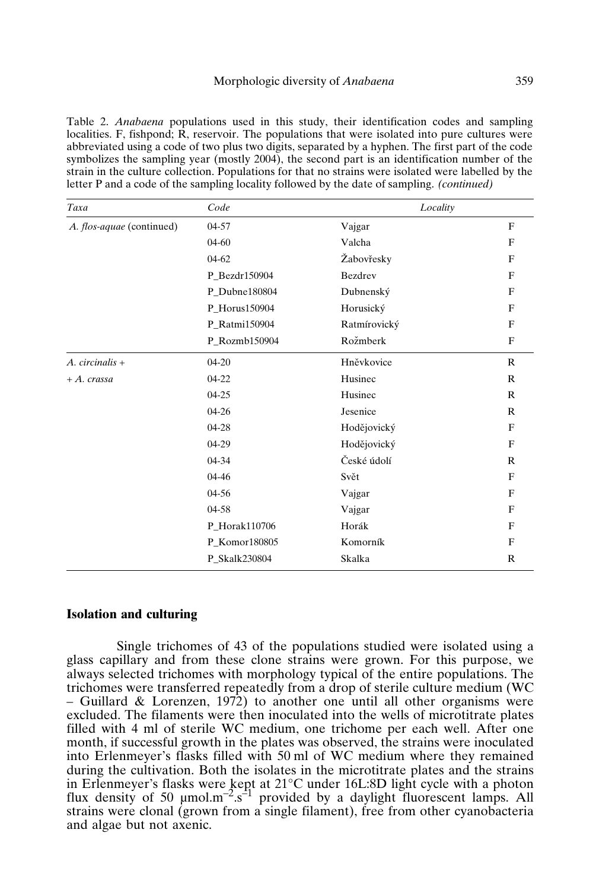#### Morphologic diversity of *Anabaena* 359

Table 2. *Anabaena* populations used in this study, their identification codes and sampling localities. F, fishpond;  $\hat{R}$ , reservoir. The populations that were isolated into pure cultures were abbreviated using a code of two plus two digits, separated by a hyphen. The first part of the code symbolizes the sampling year (mostly 2004), the second part is an identification number of the strain in the culture collection. Populations for that no strains were isolated were labelled by the letter P and a code of the sampling locality followed by the date of sampling. *(continued)*

| Taxa                      | Code          | Locality     |              |
|---------------------------|---------------|--------------|--------------|
| A. flos-aquae (continued) | 04-57         | Vajgar       | F            |
|                           | $04 - 60$     | Valcha       | F            |
|                           | $04-62$       | Žabovřesky   | F            |
|                           | P Bezdr150904 | Bezdrev      | F            |
|                           | P_Dubne180804 | Dubnenský    | F            |
|                           | P_Horus150904 | Horusický    | F            |
|                           | P_Ratmi150904 | Ratmírovický | F            |
|                           | P_Rozmb150904 | Rožmberk     | F            |
| $A.$ circinalis +         | $04 - 20$     | Hněvkovice   | $\mathbb{R}$ |
| $+A. crassa$              | 04-22         | Husinec      | $\mathbb{R}$ |
|                           | $04 - 25$     | Husinec      | $\mathbb{R}$ |
|                           | $04 - 26$     | Jesenice     | $\mathbb{R}$ |
|                           | 04-28         | Hodějovický  | F            |
|                           | 04-29         | Hodějovický  | F            |
|                           | 04-34         | České údolí  | $\mathbb{R}$ |
|                           | $04 - 46$     | Svět         | F            |
|                           | 04-56         | Vajgar       | F            |
|                           | 04-58         | Vajgar       | F            |
|                           | P_Horak110706 | Horák        | F            |
|                           | P_Komor180805 | Komorník     | F            |
|                           | P Skalk230804 | Skalka       | $\mathbb{R}$ |
|                           |               |              |              |

# **Isolation and culturing**

Single trichomes of 43 of the populations studied were isolated using a glass capillary and from these clone strains were grown. For this purpose, we always selected trichomes with morphology typical of the entire populations. The trichomes were transferred repeatedly from a drop of sterile culture medium (WC – Guillard & Lorenzen, 1972) to another one until all other organisms were excluded. The filaments were then inoculated into the wells of microtitrate plates filled with 4 ml of sterile WC medium, one trichome per each well. After one month, if successful growth in the plates was observed, the strains were inoculated into Erlenmeyer's flasks filled with 50 ml of WC medium where they remained during the cultivation. Both the isolates in the microtitrate plates and the strains in Erlenmeyer's flasks were kept at 21°C under 16L:8D light cycle with a photon flux density of 50  $\mu$ mol.m<sup>-2</sup>.s<sup>-1</sup> provided by a daylight fluorescent lamps. All strains were clonal (grown from a single filament), free from other cyanobacteria and algae but not axenic.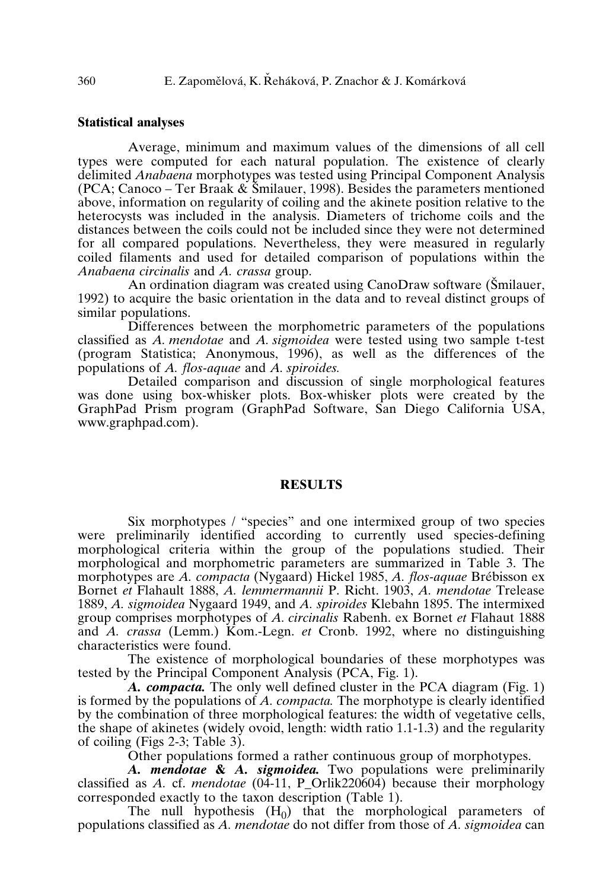# **Statistical analyses**

Average, minimum and maximum values of the dimensions of all cell types were computed for each natural population. The existence of clearly delimited *Anabaena* morphotypes was tested using Principal Component Analysis (PCA; Canoco – Ter Braak  $\&$  Šmilauer, 1998). Besides the parameters mentioned above, information on regularity of coiling and the akinete position relative to the heterocysts was included in the analysis. Diameters of trichome coils and the distances between the coils could not be included since they were not determined for all compared populations. Nevertheless, they were measured in regularly coiled filaments and used for detailed comparison of populations within the *Anabaena circinalis* and *A. crassa* group.

An ordination diagram was created using CanoDraw software (Smilauer, 1992) to acquire the basic orientation in the data and to reveal distinct groups of similar populations.

Differences between the morphometric parameters of the populations classified as *A. mendotae* and *A. sigmoidea* were tested using two sample t-test (program Statistica; Anonymous, 1996), as well as the differences of the populations of *A. flos-aquae* and *A. spiroides.*

Detailed comparison and discussion of single morphological features was done using box-whisker plots. Box-whisker plots were created by the GraphPad Prism program (GraphPad Software, San Diego California USA, www.graphpad.com).

# **RESULTS**

Six morphotypes / "species" and one intermixed group of two species were preliminarily identified according to currently used species-defining morphological criteria within the group of the populations studied. Their morphological and morphometric parameters are summarized in Table 3. The morphotypes are *A. compacta* (Nygaard) Hickel 1985, *A. flos-aquae* Brébisson ex Bornet *et* Flahault 1888, *A. lemmermannii* P. Richt. 1903, *A. mendotae* Trelease 1889, *A. sigmoidea* Nygaard 1949, and *A. spiroides* Klebahn 1895. The intermixed group comprises morphotypes of *A. circinalis* Rabenh. ex Bornet *et* Flahaut 1888 and *A. crassa* (Lemm.) Kom.-Legn. *et* Cronb. 1992, where no distinguishing characteristics were found.

The existence of morphological boundaries of these morphotypes was tested by the Principal Component Analysis (PCA, Fig. 1).

*A. compacta.* The only well defined cluster in the PCA diagram (Fig. 1) is formed by the populations of *A. compacta.* The morphotype is clearly identified by the combination of three morphological features: the width of vegetative cells, the shape of akinetes (widely ovoid, length: width ratio 1.1-1.3) and the regularity of coiling (Figs 2-3; Table 3).

Other populations formed a rather continuous group of morphotypes.

*A. mendotae* **&** *A. sigmoidea.* Two populations were preliminarily classified as *A.* cf. *mendotae* (04-11, P\_Orlik220604) because their morphology corresponded exactly to the taxon description (Table 1).

The null hypothesis  $(H_0)$  that the morphological parameters of populations classified as *A. mendotae* do not differ from those of *A. sigmoidea* can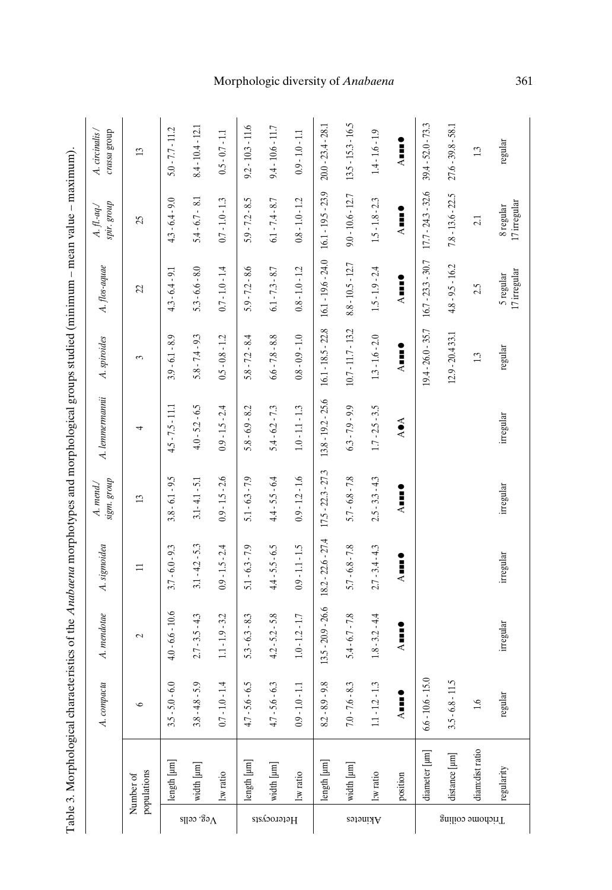|                  | Table 3. Morphological ch                          |                            |                      |                      |                         | aracteristics of the <i>Anabaena</i> morphotypes and morphological groups studied (minimum - mean value - maximum). |                      |                           |                              |                               |
|------------------|----------------------------------------------------|----------------------------|----------------------|----------------------|-------------------------|---------------------------------------------------------------------------------------------------------------------|----------------------|---------------------------|------------------------------|-------------------------------|
|                  |                                                    | mpacta<br>A. cor           | A. mendotae          | A. sigmoidea         | sigm. group<br>A. mend/ | A. lemmermanni                                                                                                      | A. spiroides         | A. flos-aquae             | spir. group<br>$A.$ fl.-aq./ | crassa group<br>A. circinalis |
|                  | populations<br>Number of                           | $\circ$                    | $\sim$               | Ξ                    | $\mathfrak{D}$          | 4                                                                                                                   | 3                    | Z                         | $\mathfrak{L}$               | $\mathbf{13}$                 |
|                  | $\ensuremath{\mathsf{length}}\xspace$ [µm]         | $0 - 6.0$<br>35.           | $4.0 - 6.6 - 10.6$   | $3.7 - 6.0 - 9.3$    | $3.8 - 6.1 - 9.5$       | $4.5 - 7.5 - 11.1$                                                                                                  | $3.9 - 6.1 - 8.9$    | $4.3 - 6.4 - 9.1$         | $4.3 - 6.4 - 9.0$            | $5.0 - 7.7 - 11.2$            |
| $\chi$ eg. cells | width [µm]                                         | $8 - 5.9$<br>$3.8 -$       | $2.7 - 3.5 - 4.3$    | $3.1 - 4.2 - 5.3$    | $3.1 - 4.1 - 5.1$       | $4.0 - 5.2 - 6.5$                                                                                                   | $5.8 - 7.4 - 9.3$    | $5.3 - 6.6 - 8.0$         | $5.4 - 6.7 - 8.1$            | $8.4 - 10.4 - 12.1$           |
|                  | l:w ratio                                          | $.0 - 1.4$<br>$-10$        | $1.1 - 1.9 - 3.2$    | $0.9 - 1.5 - 2.4$    | $0.9 - 1.5 - 2.6$       | $0.9 - 1.5 - 2.4$                                                                                                   | $0.5 - 0.8 - 1.2$    | $0.7 - 1.0 - 1.4$         | $0.7 - 1.0 - 1.3$            | $0.5 - 0.7 - 1.1$             |
|                  | $\ensuremath{\mathsf{length}}\xspace\,[\text{nm}]$ | $-9 - 9$ .<br>$4.7 - 5$ .  | $5.3 - 6.3 - 8.3$    | $5.1 - 6.3 - 7.9$    | $5.1 - 6.3 - 7.9$       | $5.8 - 6.9 - 8.2$                                                                                                   | $5.8 - 7.2 - 8.4$    | $5.9 - 7.2 - 8.6$         | $5.9 - 7.2 - 8.5$            | $9.2 - 10.3 - 11.6$           |
| Heterocysts      | width [µm]                                         | $.6 - 6.3$<br>$4.7 - 5$ .  | $4.2 - 5.2 - 5.8$    | $4.4 - 5.5 - 6.5$    | $4.4 - 5.5 - 6.4$       | $5.4 - 6.2 - 7.3$                                                                                                   | $6.6 - 7.8 - 8.8$    | $6.1 - 7.3 - 8.7$         | $6.1 - 7.4 - 8.7$            | $9.4 - 10.6 - 11.7$           |
|                  | l:w ratio                                          | $.0 - 1.1$<br>$0.9 - 1.$   | $1.0 - 1.2 - 1.7$    | $0.9 - 1.1 - 1.5$    | $0.9 - 1.2 - 1.6$       | $1.0 - 1.1 - 1.3$                                                                                                   | $0.8 - 0.9 - 1.0$    | $0.8 - 1.0 - 1.2$         | $0.8 - 1.0 - 1.2$            | $0.9 - 1.0 - 1.1$             |
|                  | length [µm]                                        | $8.2 - 8.9 - 9.8$          | $13.5 - 20.9 - 26.6$ | $18.2 - 22.6 - 27.4$ | $17.5 - 22.3 - 27.3$    | 13.8 - 19.2 - 25.6                                                                                                  | $16.1 - 18.5 - 22.8$ | $16.1 - 19.6 - 24.0$      | $16.1 - 19.5 - 23.9$         | $20.0 - 23.4 - 28.1$          |
|                  | width [µm]                                         | $6 - 8.3$<br>$7.0 - 7.$    | $5.4 - 6.7 - 7.8$    | $5.7 - 6.8 - 7.8$    | $5.7 - 6.8 - 7.8$       | $6.3 - 7.9 - 9.9$                                                                                                   | $10.7 - 11.7 - 13.2$ | $8.8 - 10.5 - 12.7$       | $9.0 - 10.6 - 12.7$          | $13.5 - 15.3 - 16.5$          |
| Akinetes         | l:w ratio                                          | $.2 - 1.3$<br>$11 - 1.$    | $1.8 - 3.2 - 4.4$    | $2.7 - 3.4 - 4.3$    | $2.5 - 3.3 - 4.3$       | $1.7 - 2.5 - 3.5$                                                                                                   | $1.3 - 1.6 - 2.0$    | $1.5 - 1.9 - 2.4$         | $1.5 - 1.8 - 2.3$            | $1.4 - 1.6 - 1.9$             |
|                  | position                                           | $\ddot{\phantom{a}}$<br>J  | Aust<br>A            | Åuu!                 | Å∎∎∎                    | A OA                                                                                                                | Aust <sub>A</sub>    | Aune                      | Åmme                         | Auut<br>A                     |
|                  | diameter [µm]                                      | $.6 - 15.0$<br>$6.6 - 10.$ |                      |                      |                         |                                                                                                                     | $19.4 - 26.0 - 35.7$ | $16.7 - 23.3 - 30.7$      | $17.7 - 24.3 - 32.6$         | $39.4 - 52.0 - 73.3$          |
| Trichome coiling | distance [µm]                                      | $3.5 - 6.8 - 11.5$         |                      |                      |                         |                                                                                                                     | $12.9 - 20.433.1$    | $4.8 - 9.5 - 16.2$        | $7.8 - 13.6 - 22.5$          | $27.6 - 39.8 - 58.1$          |
|                  | diam:distratio                                     | Ò.                         |                      |                      |                         |                                                                                                                     | $\mathbb{C}$         | 2.5                       | 21                           | 13                            |
|                  | regularity                                         | regular                    | irregular            | irregular            | irregular               | irregular                                                                                                           | regular              | 17 irregular<br>5 regular | 17 irregular<br>8 regular    | regular                       |

# Morphologic diversity of *Anabaena* 361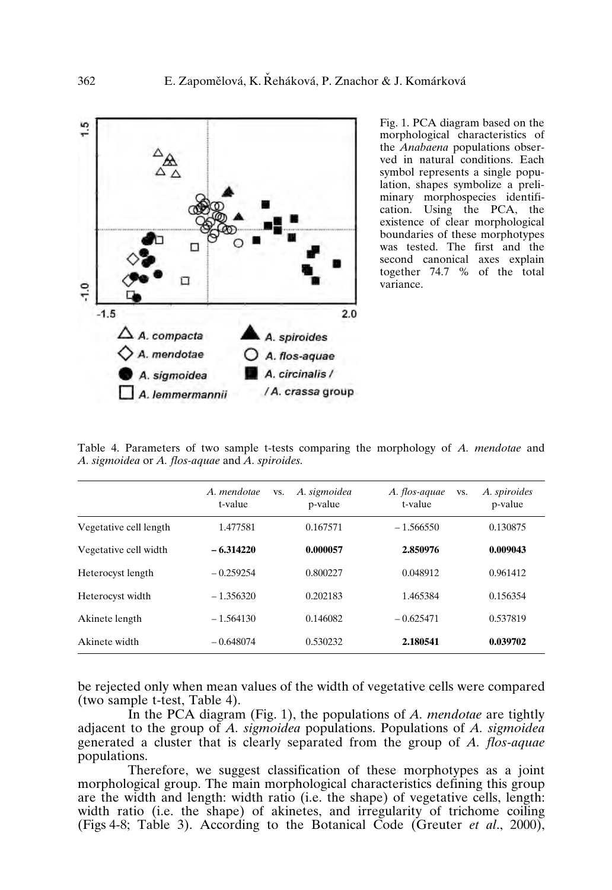

Fig. 1. PCA diagram based on the morphological characteristics of the *Anabaena* populations observed in natural conditions. Each symbol represents a single population, shapes symbolize a preliminary morphospecies identification. Using the PCA, the existence of clear morphological boundaries of these morphotypes was tested. The first and the second canonical axes explain together  $74.7 \%$  of the total variance.

Table 4. Parameters of two sample t-tests comparing the morphology of *A. mendotae* and *A. sigmoidea* or *A. flos-aquae* and *A. spiroides.*

|                        | A. mendotae<br>t-value | A. sigmoidea<br>VS.<br>p-value | A. flos-aquae<br>VS.<br>t-value | A. spiroides<br>p-value |
|------------------------|------------------------|--------------------------------|---------------------------------|-------------------------|
| Vegetative cell length | 1.477581               | 0.167571                       | $-1.566550$                     | 0.130875                |
| Vegetative cell width  | $-6.314220$            | 0.000057                       | 2.850976                        | 0.009043                |
| Heterocyst length      | $-0.259254$            | 0.800227                       | 0.048912                        | 0.961412                |
| Heterocyst width       | $-1.356320$            | 0.202183                       | 1.465384                        | 0.156354                |
| Akinete length         | $-1.564130$            | 0.146082                       | $-0.625471$                     | 0.537819                |
| Akinete width          | $-0.648074$            | 0.530232                       | 2.180541                        | 0.039702                |

be rejected only when mean values of the width of vegetative cells were compared (two sample t-test, Table 4).

In the PCA diagram (Fig. 1), the populations of *A. mendotae* are tightly adjacent to the group of *A. sigmoidea* populations. Populations of *A. sigmoidea* generated a cluster that is clearly separated from the group of *A. flos-aquae* populations.

Therefore, we suggest classification of these morphotypes as a joint morphological group. The main morphological characteristics defining this group are the width and length: width ratio (i.e. the shape) of vegetative cells, length: width ratio (i.e. the shape) of akinetes, and irregularity of trichome coiling (Figs 4-8; Table 3). According to the Botanical Code (Greuter *et al*., 2000),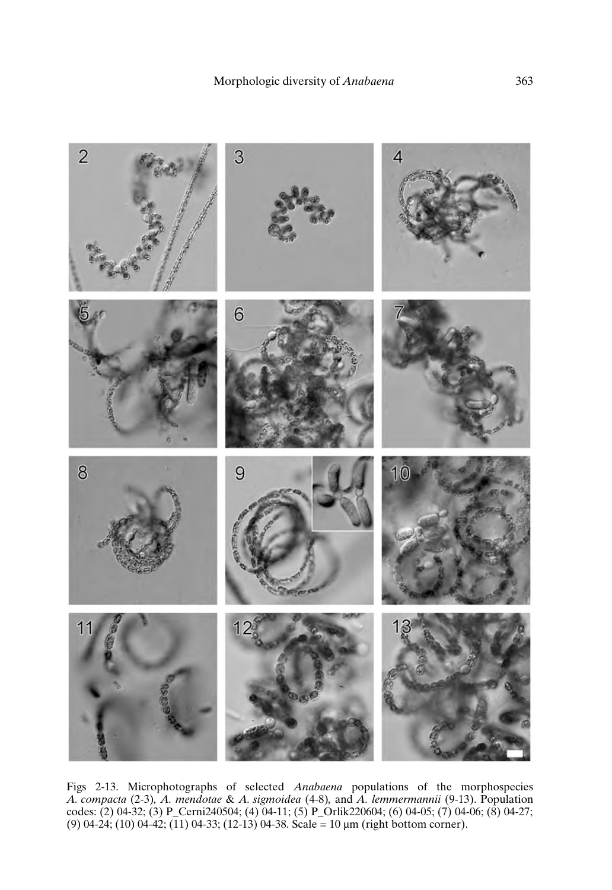

Figs 2-13. Microphotographs of selected *Anabaena* populations of the morphospecies *A. compacta* (2-3)*, A. mendotae* & *A. sigmoidea* (4-8)*,* and *A. lemmermannii* (9-13). Population codes: (2) 04-32; (3) P\_Cerni240504; (4) 04-11; (5) P\_Orlik220604; (6) 04-05; (7) 04-06; (8) 04-27; (9) 04-24; (10) 04-42; (11) 04-33; (12-13) 04-38. Scale = 10 µm (right bottom corner).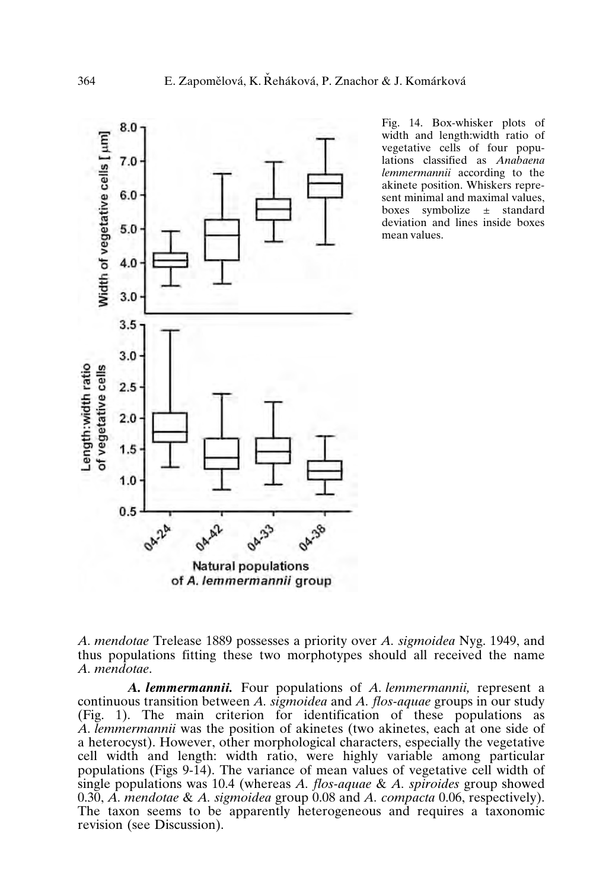

Fig. 14. Box-whisker plots of width and length:width ratio of vegetative cells of four populations classified as *Anabaena lemmermannii* according to the akinete position. Whiskers represent minimal and maximal values, boxes symbolize ± standard deviation and lines inside boxes mean values.

*A. mendotae* Trelease 1889 possesses a priority over *A. sigmoidea* Nyg. 1949, and thus populations fitting these two morphotypes should all received the name *A. mendotae*.

*A. lemmermannii.* Four populations of *A. lemmermannii,* represent a continuous transition between *A. sigmoidea* and *A. flos-aquae* groups in our study (Fig. 1). The main criterion for identification of these populations as *A. lemmermannii* was the position of akinetes (two akinetes, each at one side of a heterocyst). However, other morphological characters, especially the vegetative cell width and length: width ratio, were highly variable among particular populations (Figs 9-14). The variance of mean values of vegetative cell width of single populations was 10.4 (whereas *A. flos-aquae* & *A. spiroides* group showed 0.30, *A. mendotae* & *A. sigmoidea* group 0.08 and *A. compacta* 0.06, respectively). The taxon seems to be apparently heterogeneous and requires a taxonomic revision (see Discussion).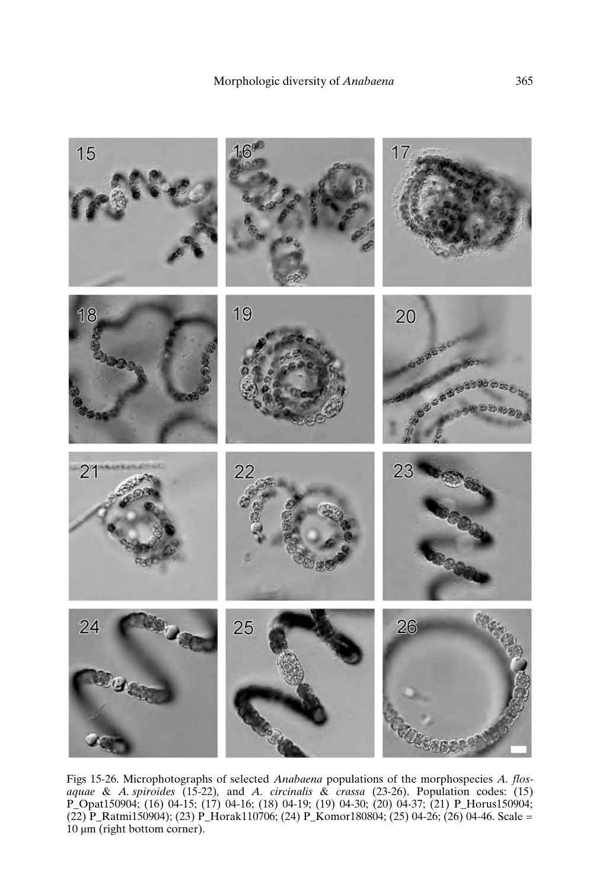

Figs 15-26. Microphotographs of selected *Anabaena* populations of the morphospecies *A. flosaquae* & *A. spiroides* (15-22)*,* and *A. circinalis* & *crassa* (23-26). Population codes: (15) P\_Opat150904; (16) 04-15; (17) 04-16; (18) 04-19; (19) 04-30; (20) 04-37; (21) P\_Horus150904; (22) P\_Ratmi150904); (23) P\_Horak110706; (24) P\_Komor180804; (25) 04-26; (26) 04-46. Scale = 10 µm (right bottom corner).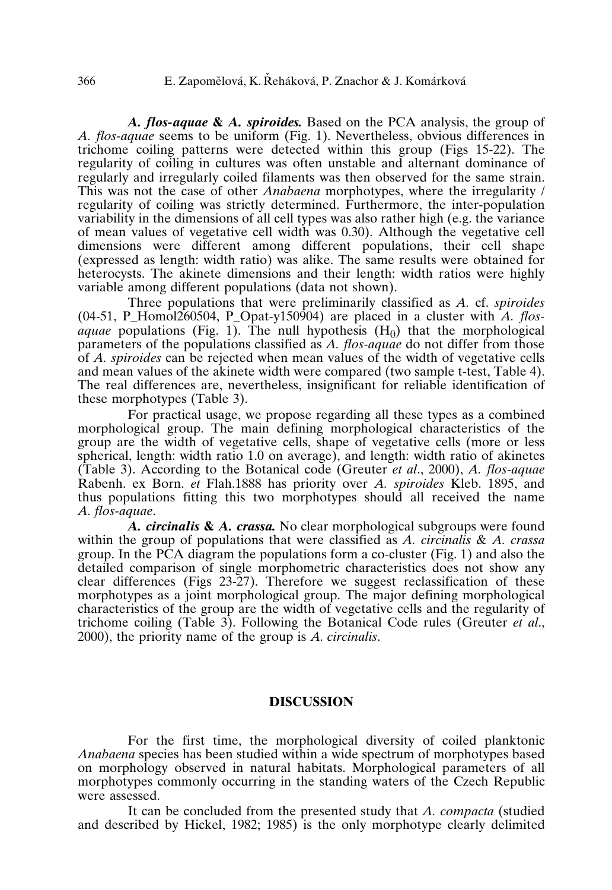*A. flos-aquae* **&** *A. spiroides.* Based on the PCA analysis, the group of *A. flos-aquae* seems to be uniform (Fig. 1). Nevertheless, obvious differences in trichome coiling patterns were detected within this group (Figs 15-22). The regularity of coiling in cultures was often unstable and alternant dominance of regularly and irregularly coiled filaments was then observed for the same strain. This was not the case of other *Anabaena* morphotypes, where the irregularity / regularity of coiling was strictly determined. Furthermore, the inter-population variability in the dimensions of all cell types was also rather high (e.g. the variance of mean values of vegetative cell width was 0.30). Although the vegetative cell dimensions were different among different populations, their cell shape (expressed as length: width ratio) was alike. The same results were obtained for heterocysts. The akinete dimensions and their length: width ratios were highly variable among different populations (data not shown).

Three populations that were preliminarily classified as *A.* cf. *spiroides*  $(04-51, P$  Homol260504, P Opat-y150904) are placed in a cluster with *A. flosaquae* populations (Fig. 1). The null hypothesis  $(H_0)$  that the morphological parameters of the populations classified as *A. flos-aquae* do not differ from those of *A. spiroides* can be rejected when mean values of the width of vegetative cells and mean values of the akinete width were compared (two sample t-test, Table 4). The real differences are, nevertheless, insignificant for reliable identification of these morphotypes (Table 3).

For practical usage, we propose regarding all these types as a combined morphological group. The main defining morphological characteristics of the group are the width of vegetative cells, shape of vegetative cells (more or less spherical, length: width ratio 1.0 on average), and length: width ratio of akinetes (Table 3). According to the Botanical code (Greuter *et al*., 2000), *A. flos-aquae* Rabenh. ex Born. *et* Flah.1888 has priority over *A. spiroides* Kleb. 1895, and thus populations fitting this two morphotypes should all received the name *A. flos-aquae*.

*A. circinalis* **&** *A. crassa.* No clear morphological subgroups were found within the group of populations that were classified as *A. circinalis* & *A. crassa* group. In the PCA diagram the populations form a co-cluster (Fig. 1) and also the detailed comparison of single morphometric characteristics does not show any clear differences (Figs 23-27). Therefore we suggest reclassification of these morphotypes as a joint morphological group. The major defining morphological characteristics of the group are the width of vegetative cells and the regularity of trichome coiling (Table 3). Following the Botanical Code rules (Greuter *et al*., 2000), the priority name of the group is *A. circinalis*.

# **DISCUSSION**

For the first time, the morphological diversity of coiled planktonic *Anabaena* species has been studied within a wide spectrum of morphotypes based on morphology observed in natural habitats. Morphological parameters of all morphotypes commonly occurring in the standing waters of the Czech Republic were assessed.

It can be concluded from the presented study that *A. compacta* (studied and described by Hickel, 1982; 1985) is the only morphotype clearly delimited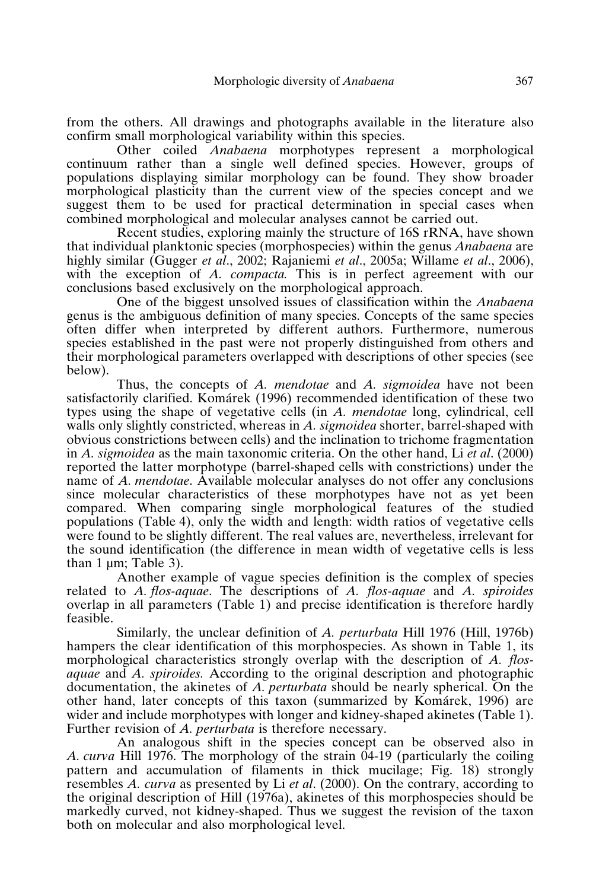from the others. All drawings and photographs available in the literature also confirm small morphological variability within this species.

Other coiled *Anabaena* morphotypes represent a morphological continuum rather than a single well defined species. However, groups of populations displaying similar morphology can be found. They show broader morphological plasticity than the current view of the species concept and we suggest them to be used for practical determination in special cases when combined morphological and molecular analyses cannot be carried out.

Recent studies, exploring mainly the structure of 16S rRNA, have shown that individual planktonic species (morphospecies) within the genus *Anabaena* are highly similar (Gugger *et al*., 2002; Rajaniemi *et al*., 2005a; Willame *et al*., 2006), with the exception of *A. compacta.* This is in perfect agreement with our conclusions based exclusively on the morphological approach.

One of the biggest unsolved issues of classification within the *Anabaena* genus is the ambiguous definition of many species. Concepts of the same species often differ when interpreted by different authors. Furthermore, numerous species established in the past were not properly distinguished from others and their morphological parameters overlapped with descriptions of other species (see below).

Thus, the concepts of *A. mendotae* and *A. sigmoidea* have not been satisfactorily clarified. Komárek (1996) recommended identification of these two types using the shape of vegetative cells (in *A. mendotae* long, cylindrical, cell walls only slightly constricted, whereas in *A. sigmoidea* shorter, barrel-shaped with obvious constrictions between cells) and the inclination to trichome fragmentation in *A. sigmoidea* as the main taxonomic criteria. On the other hand, Li *et al*. (2000) reported the latter morphotype (barrel-shaped cells with constrictions) under the name of *A. mendotae*. Available molecular analyses do not offer any conclusions since molecular characteristics of these morphotypes have not as yet been compared. When comparing single morphological features of the studied populations (Table 4), only the width and length: width ratios of vegetative cells were found to be slightly different. The real values are, nevertheless, irrelevant for the sound identification (the difference in mean width of vegetative cells is less than  $1 \mu m$ ; Table  $3$ ).

Another example of vague species definition is the complex of species related to *A. flos-aquae*. The descriptions of *A. flos-aquae* and *A. spiroides* overlap in all parameters (Table 1) and precise identification is therefore hardly feasible.

Similarly, the unclear definition of *A. perturbata* Hill 1976 (Hill, 1976b) hampers the clear identification of this morphospecies. As shown in Table 1, its morphological characteristics strongly overlap with the description of *A. flosaquae* and *A. spiroides.* According to the original description and photographic documentation, the akinetes of *A. perturbata* should be nearly spherical. On the other hand, later concepts of this taxon (summarized by Komárek, 1996) are wider and include morphotypes with longer and kidney-shaped akinetes (Table 1). Further revision of *A. perturbata* is therefore necessary.

An analogous shift in the species concept can be observed also in *A. curva* Hill 1976. The morphology of the strain 04-19 (particularly the coiling pattern and accumulation of filaments in thick mucilage; Fig. 18) strongly resembles *A. curva* as presented by Li *et al*. (2000). On the contrary, according to the original description of Hill (1976a), akinetes of this morphospecies should be markedly curved, not kidney-shaped. Thus we suggest the revision of the taxon both on molecular and also morphological level.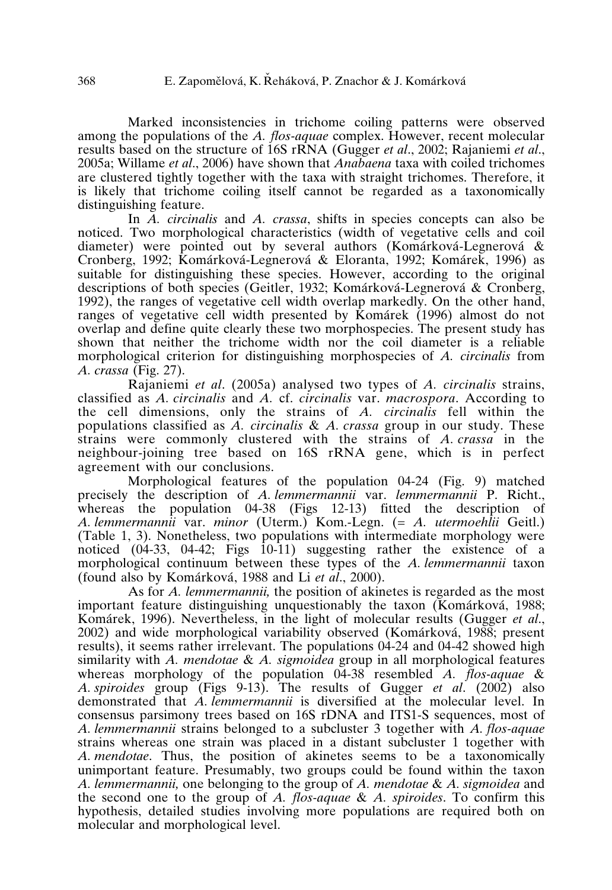Marked inconsistencies in trichome coiling patterns were observed among the populations of the *A. flos-aquae* complex. However, recent molecular results based on the structure of 16S rRNA (Gugger *et al*., 2002; Rajaniemi *et al*., 2005a; Willame *et al*., 2006) have shown that *Anabaena* taxa with coiled trichomes are clustered tightly together with the taxa with straight trichomes. Therefore, it is likely that trichome coiling itself cannot be regarded as a taxonomically distinguishing feature.

In *A. circinalis* and *A. crassa*, shifts in species concepts can also be noticed. Two morphological characteristics (width of vegetative cells and coil diameter) were pointed out by several authors (Komárková-Legnerová & Cronberg, 1992; Komárková-Legnerová&Eloranta, 1992; Komárek, 1996) as suitable for distinguishing these species. However, according to the original descriptions of both species (Geitler, 1932; Komárková-Legnerová&Cronberg, 1992), the ranges of vegetative cell width overlap markedly. On the other hand, ranges of vegetative cell width presented by Komárek (1996) almost do not overlap and define quite clearly these two morphospecies. The present study has shown that neither the trichome width nor the coil diameter is a reliable morphological criterion for distinguishing morphospecies of *A. circinalis* from *A. crassa* (Fig. 27).

Rajaniemi *et al*. (2005a) analysed two types of *A. circinalis* strains, classified as *A. circinalis* and *A.* cf. *circinalis* var. *macrospora*. According to the cell dimensions, only the strains of *A. circinalis* fell within the populations classified as *A. circinalis* & *A. crassa* group in our study. These strains were commonly clustered with the strains of *A. crassa* in the neighbour-joining tree based on 16S rRNA gene, which is in perfect agreement with our conclusions.

Morphological features of the population 04-24 (Fig. 9) matched precisely the description of *A. lemmermannii* var. *lemmermannii* P. Richt., whereas the population 04-38 (Figs 12-13) fitted the description of *A. lemmermannii* var. *minor* (Uterm.) Kom.-Legn. (= *A. utermoehlii* Geitl.) (Table 1, 3). Nonetheless, two populations with intermediate morphology were noticed  $(04-33, 04-42;$  Figs  $10-11$ ) suggesting rather the existence of a morphological continuum between these types of the *A. lemmermannii* taxon (found also by Komárková, 1988 and Li *et al*., 2000).

As for *A. lemmermannii,* the position of akinetes is regarded as the most important feature distinguishing unquestionably the taxon (Komárková, 1988; Komárek, 1996). Nevertheless, in the light of molecular results (Gugger *et al*., 2002) and wide morphological variability observed (Komárková, 1988; present results), it seems rather irrelevant. The populations 04-24 and 04-42 showed high similarity with *A. mendotae* & *A. sigmoidea* group in all morphological features whereas morphology of the population 04-38 resembled *A. flos-aquae* & *A. spiroides* group (Figs 9-13). The results of Gugger *et al*. (2002) also demonstrated that *A. lemmermannii* is diversified at the molecular level. In consensus parsimony trees based on 16S rDNA and ITS1-S sequences, most of A. lemmermannii strains belonged to a subcluster 3 together with *A. flos-aquae* strains whereas one strain was placed in a distant subcluster 1 together with *A. mendotae*. Thus, the position of akinetes seems to be a taxonomically unimportant feature. Presumably, two groups could be found within the taxon *A. lemmermannii,* one belonging to the group of *A. mendotae* & *A. sigmoidea* and the second one to the group of *A. flos-aquae* & *A. spiroides*. To confirm this hypothesis, detailed studies involving more populations are required both on molecular and morphological level.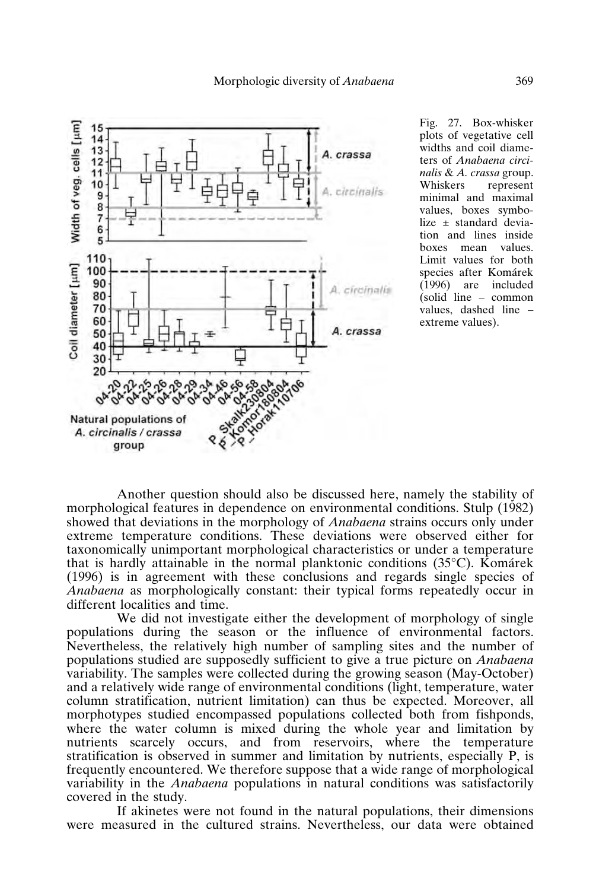

Fig. 27. Box-whisker plots of vegetative cell widths and coil diameters of *Anabaena circinalis* & *A. crassa* group. represent minimal and maximal values, boxes symbolize ± standard deviation and lines inside boxes mean values. Limit values for both species after Komárek<br>(1996) are included are included (solid line – common values, dashed line – extreme values).

Another question should also be discussed here, namely the stability of morphological features in dependence on environmental conditions. Stulp (1982) showed that deviations in the morphology of *Anabaena* strains occurs only under extreme temperature conditions. These deviations were observed either for taxonomically unimportant morphological characteristics or under a temperature that is hardly attainable in the normal planktonic conditions  $(35^{\circ}C)$ . Komárek (1996) is in agreement with these conclusions and regards single species of *Anabaena* as morphologically constant: their typical forms repeatedly occur in different localities and time.

We did not investigate either the development of morphology of single populations during the season or the influence of environmental factors. Nevertheless, the relatively high number of sampling sites and the number of populations studied are supposedly sufficient to give a true picture on *Anabaena* variability. The samples were collected during the growing season (May-October) and a relatively wide range of environmental conditions (light, temperature, water column stratification, nutrient limitation) can thus be expected. Moreover, all morphotypes studied encompassed populations collected both from fishponds, where the water column is mixed during the whole year and limitation by nutrients scarcely occurs, and from reservoirs, where the temperature stratification is observed in summer and limitation by nutrients, especially P, is frequently encountered. We therefore suppose that a wide range of morphological variability in the *Anabaena* populations in natural conditions was satisfactorily covered in the study.

If akinetes were not found in the natural populations, their dimensions were measured in the cultured strains. Nevertheless, our data were obtained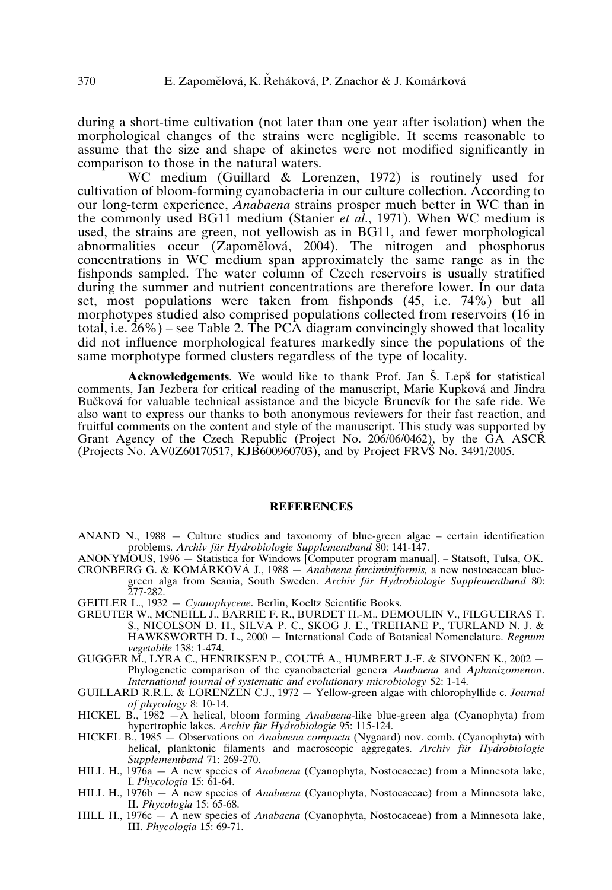during a short-time cultivation (not later than one year after isolation) when the morphological changes of the strains were negligible. It seems reasonable to assume that the size and shape of akinetes were not modified significantly in comparison to those in the natural waters.

WC medium (Guillard & Lorenzen, 1972) is routinely used for cultivation of bloom-forming cyanobacteria in our culture collection. According to our long-term experience, *Anabaena* strains prosper much better in WC than in the commonly used BG11 medium (Stanier *et al*., 1971). When WC medium is used, the strains are green, not yellowish as in BG11, and fewer morphological abnormalities occur (Zapomělová, 2004). The nitrogen and phosphorus concentrations in WC medium span approximately the same range as in the fishponds sampled. The water column of Czech reservoirs is usually stratified during the summer and nutrient concentrations are therefore lower. In our data set, most populations were taken from fishponds (45, i.e. 74%) but all morphotypes studied also comprised populations collected from reservoirs (16 in total, i.e.  $26\%$ ) – see Table 2. The PCA diagram convincingly showed that locality did not influence morphological features markedly since the populations of the same morphotype formed clusters regardless of the type of locality.

**Acknowledgements**. We would like to thank Prof. Jan S. Lepš for statistical comments, Jan Jezbera for critical reading of the manuscript, Marie Kupková and Jindra Bučková for valuable technical assistance and the bicycle Bruncvík for the safe ride. We also want to express our thanks to both anonymous reviewers for their fast reaction, and fruitful comments on the content and style of the manuscript. This study was supported by Grant Agency of the Czech Republic (Project No. 206/06/0462), by the GA ASCR (Projects No. AV0Z60170517, KJB600960703), and by Project FRV≤ No. 3491/2005.

#### **REFERENCES**

- ANAND N., 1988 Culture studies and taxonomy of blue-green algae certain identification problems. *Archiv für Hydrobiologie Supplementband* 80: 141-147.
- ANONYMOUS, 1996 Statistica for Windows [Computer program manual]. Statsoft, Tulsa, OK. CRONBERG G. & KOMÁRKOVÁ J., 1988 — *Anabaena farciminiformis,* a new nostocacean bluegreen alga from Scania, South Sweden. *Archiv für Hydrobiologie Supplementband* 80: 277-282.
- GEITLER L., 1932 *Cyanophyceae*. Berlin, Koeltz Scientific Books.
- GREUTER W., MCNEILL J., BARRIE F. R., BURDET H.-M., DEMOULIN V., FILGUEIRAS T. S., NICOLSON D. H., SILVA P. C., SKOG J. E., TREHANE P., TURLAND N. J. & HAWKSWORTH D. L., 2000 — International Code of Botanical Nomenclature. *Regnum vegetabile* 138: 1-474.
- GUGGER M., LYRA C., HENRIKSEN P., COUTÉ A., HUMBERT J.-F. & SIVONEN K., 2002 Phylogenetic comparison of the cyanobacterial genera *Anabaena* and *Aphanizomenon*. *International journal of systematic and evolutionary microbiology* 52: 1-14.
- GUILLARD R.R.L. & LORENZEN C.J., 1972 Yellow-green algae with chlorophyllide c. *Journal of phycology* 8: 10-14.
- HICKEL B., 1982 —A helical, bloom forming *Anabaena*-like blue-green alga (Cyanophyta) from hypertrophic lakes. *Archiv für Hydrobiologie* 95: 115-124.
- HICKEL B., 1985 Observations on *Anabaena compacta* (Nygaard) nov. comb. (Cyanophyta) with helical, planktonic filaments and macroscopic aggregates. *Archiv für Hydrobiologie Supplementband* 71: 269-270.
- HILL H., 1976a A new species of *Anabaena* (Cyanophyta, Nostocaceae) from a Minnesota lake, I. *Phycologia* 15: 61-64.
- HILL H., 1976b A new species of *Anabaena* (Cyanophyta, Nostocaceae) from a Minnesota lake, II. *Phycologia* 15: 65-68.
- HILL H., 1976c A new species of *Anabaena* (Cyanophyta, Nostocaceae) from a Minnesota lake, III. *Phycologia* 15: 69-71.